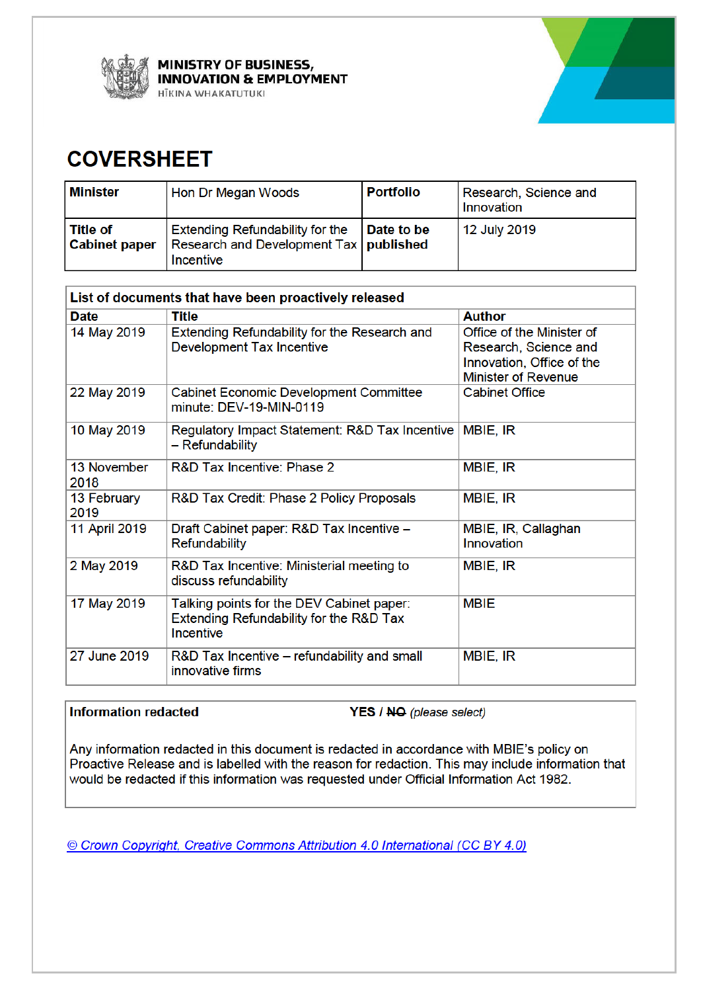



# **COVERSHEET**

| <b>Minister</b>                    | Hon Dr Megan Woods                                                                       | <b>Portfolio</b> | Research, Science and<br><b>Innovation</b> |
|------------------------------------|------------------------------------------------------------------------------------------|------------------|--------------------------------------------|
| l Title of<br><b>Cabinet paper</b> | Extending Refundability for the<br>Research and Development Tax   published<br>Incentive | Date to be       | 12 July 2019                               |

| List of documents that have been proactively released |                                                                                                   |                                                                                                               |  |
|-------------------------------------------------------|---------------------------------------------------------------------------------------------------|---------------------------------------------------------------------------------------------------------------|--|
| <b>Date</b>                                           | <b>Title</b>                                                                                      | <b>Author</b>                                                                                                 |  |
| 14 May 2019                                           | Extending Refundability for the Research and<br><b>Development Tax Incentive</b>                  | Office of the Minister of<br>Research, Science and<br>Innovation, Office of the<br><b>Minister of Revenue</b> |  |
| 22 May 2019                                           | <b>Cabinet Economic Development Committee</b><br>minute: DEV-19-MIN-0119                          | <b>Cabinet Office</b>                                                                                         |  |
| 10 May 2019                                           | Regulatory Impact Statement: R&D Tax Incentive<br>- Refundability                                 | <b>MBIE, IR</b>                                                                                               |  |
| 13 November<br>2018                                   | R&D Tax Incentive: Phase 2                                                                        | MBIE, IR                                                                                                      |  |
| 13 February<br>2019                                   | R&D Tax Credit: Phase 2 Policy Proposals                                                          | MBIE, IR                                                                                                      |  |
| 11 April 2019                                         | Draft Cabinet paper: R&D Tax Incentive -<br><b>Refundability</b>                                  | MBIE, IR, Callaghan<br>Innovation                                                                             |  |
| 2 May 2019                                            | R&D Tax Incentive: Ministerial meeting to<br>discuss refundability                                | MBIE, IR                                                                                                      |  |
| 17 May 2019                                           | Talking points for the DEV Cabinet paper:<br>Extending Refundability for the R&D Tax<br>Incentive | <b>MBIE</b>                                                                                                   |  |
| 27 June 2019                                          | R&D Tax Incentive – refundability and small<br>innovative firms                                   | MBIE, IR                                                                                                      |  |

## **Information redacted**

YES / NO (please select)

Any information redacted in this document is redacted in accordance with MBIE's policy on Proactive Release and is labelled with the reason for redaction. This may include information that would be redacted if this information was requested under Official Information Act 1982.

© Crown Copyright, Creative Commons Attribution 4.0 International (CC BY 4.0)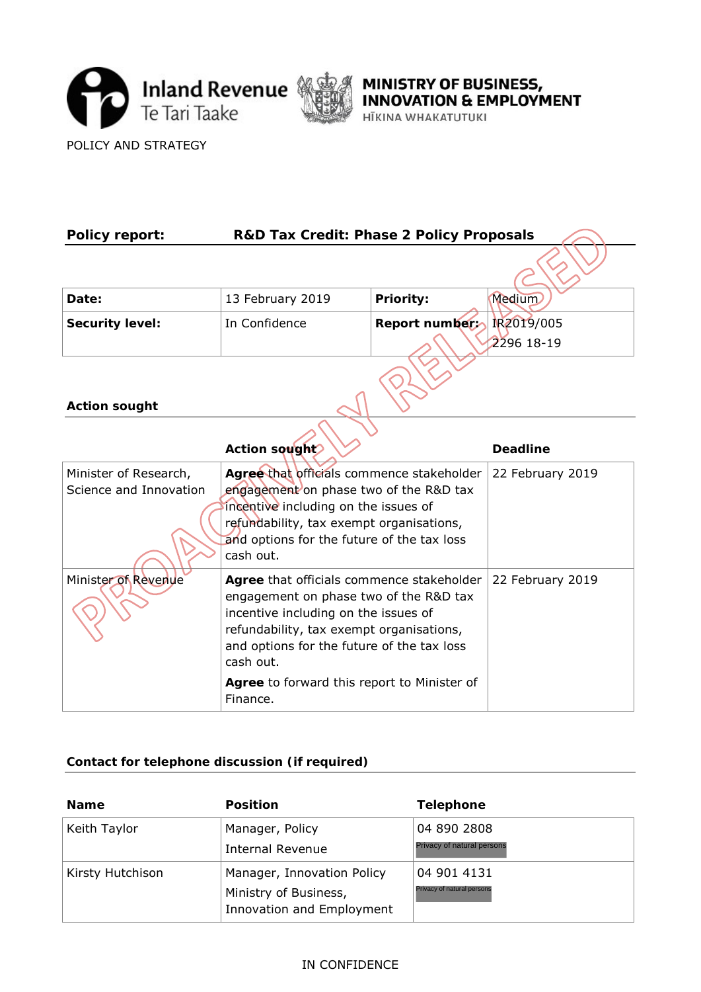



POLICY AND STRATEGY

| <b>Policy report:</b>                                                                                    | <b>R&amp;D Tax Credit: Phase 2 Policy Proposals</b>                                                                         |               |                  |  |
|----------------------------------------------------------------------------------------------------------|-----------------------------------------------------------------------------------------------------------------------------|---------------|------------------|--|
|                                                                                                          |                                                                                                                             |               |                  |  |
| Date:                                                                                                    | 13 February 2019                                                                                                            | Priority:     | Medium           |  |
| <b>Security level:</b>                                                                                   | In Confidence                                                                                                               | Report number | IR2019/005       |  |
|                                                                                                          |                                                                                                                             |               | 2296 18-19       |  |
|                                                                                                          |                                                                                                                             |               |                  |  |
| <b>Action sought</b>                                                                                     |                                                                                                                             |               |                  |  |
|                                                                                                          |                                                                                                                             |               |                  |  |
|                                                                                                          | Action sought                                                                                                               |               | <b>Deadline</b>  |  |
| Minister of Research,                                                                                    | Agree that officials commence stakeholder                                                                                   |               | 22 February 2019 |  |
| Science and Innovation<br>engagement on phase two of the R&D tax<br>incentive including on the issues of |                                                                                                                             |               |                  |  |
| refundability, tax exempt organisations,                                                                 |                                                                                                                             |               |                  |  |
| and options for the future of the tax loss<br>cash out.                                                  |                                                                                                                             |               |                  |  |
| Minister of Revenue                                                                                      | Agree that officials commence stakeholder<br>engagement on phase two of the R&D tax<br>incentive including on the issues of |               | 22 February 2019 |  |
|                                                                                                          |                                                                                                                             |               |                  |  |
|                                                                                                          | refundability, tax exempt organisations,                                                                                    |               |                  |  |
|                                                                                                          | and options for the future of the tax loss<br>cash out.                                                                     |               |                  |  |
|                                                                                                          | Agree to forward this report to Minister of<br>Finance.                                                                     |               |                  |  |

## **Contact for telephone discussion (if required)**

| <b>Name</b>      | <b>Position</b>                                                                  | <b>Telephone</b>                          |
|------------------|----------------------------------------------------------------------------------|-------------------------------------------|
| Keith Taylor     | Manager, Policy<br><b>Internal Revenue</b>                                       | 04 890 2808<br>Privacy of natural persons |
| Kirsty Hutchison | Manager, Innovation Policy<br>Ministry of Business,<br>Innovation and Employment | 04 901 4131<br>Privacy of natural persons |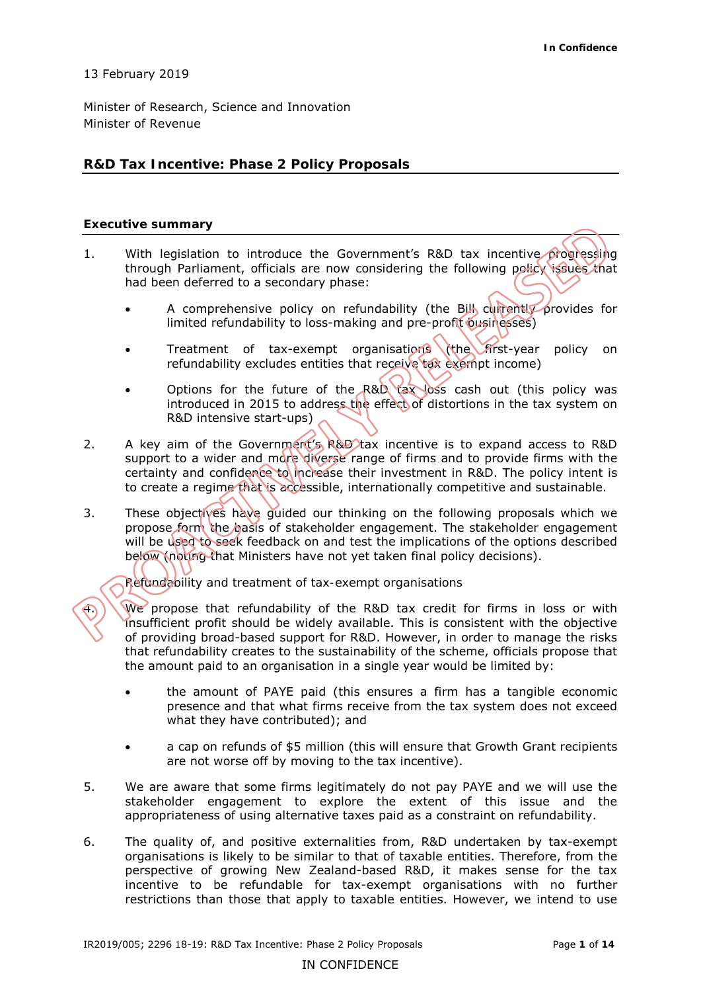## 13 February 2019

 Minister of Research, Science and Innovation Minister of Revenue

## **R&D Tax Incentive: Phase 2 Policy Proposals**

#### **Executive summary**

- 1. With legislation to introduce the Government's R&D tax incentive progressing through Parliament, officials are now considering the following policy issues that had been deferred to a secondary phase:
	- A comprehensive policy on refundability (the Bill currently provides for limited refundability to loss-making and pre-profit businesses)
	- Treatment of tax-exempt organisations (the first-year policy on refundability excludes entities that receive tax exempt income)
	- Options for the future of the R&D tax loss cash out (this policy was introduced in 2015 to address the effect of distortions in the tax system on R&D intensive start-ups)
- 2. A key aim of the Government's R&D tax incentive is to expand access to R&D support to a wider and more diverse range of firms and to provide firms with the certainty and confidence to increase their investment in R&D. The policy intent is to create a regime that is accessible, internationally competitive and sustainable.
- 3. These objectives have guided our thinking on the following proposals which we propose form the basis of stakeholder engagement. The stakeholder engagement will be used to seek feedback on and test the implications of the options described below (noting that Ministers have not yet taken final policy decisions).

 *Refundability and treatment of tax-exempt organisations* 

 $\bigoplus$ ) We propose that refundability of the R&D tax credit for firms in loss or with insufficient profit should be widely available. This is consistent with the objective of providing broad-based support for R&D. However, in order to manage the risks that refundability creates to the sustainability of the scheme, officials propose that the amount paid to an organisation in a single year would be limited by:

- • the amount of PAYE paid (this ensures a firm has a tangible economic presence and that what firms receive from the tax system does not exceed what they have contributed); and
- a cap on refunds of \$5 million (this will ensure that Growth Grant recipients are not worse off by moving to the tax incentive).
- 5. We are aware that some firms legitimately do not pay PAYE and we will use the stakeholder engagement to explore the extent of this issue and the appropriateness of using alternative taxes paid as a constraint on refundability.
- 6. The quality of, and positive externalities from, R&D undertaken by tax-exempt organisations is likely to be similar to that of taxable entities. Therefore, from the perspective of growing New Zealand-based R&D, it makes sense for the tax incentive to be refundable for tax-exempt organisations with no further restrictions than those that apply to taxable entities. However, we intend to use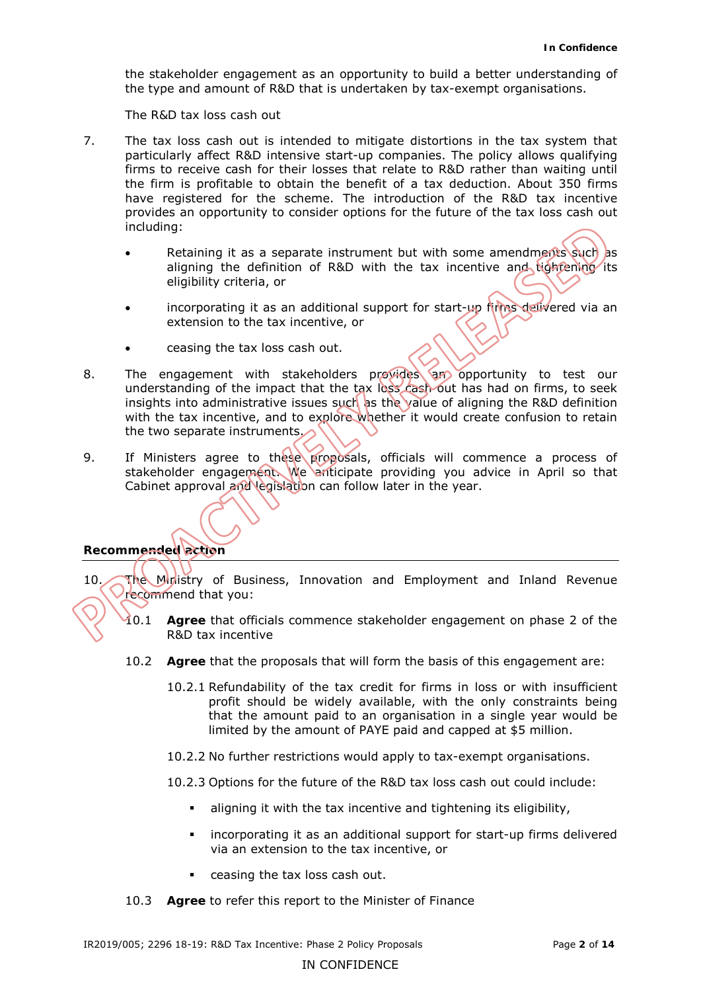the stakeholder engagement as an opportunity to build a better understanding of the type and amount of R&D that is undertaken by tax-exempt organisations.

 *The R&D tax loss cash out* 

- 7. The tax loss cash out is intended to mitigate distortions in the tax system that particularly affect R&D intensive start-up companies. The policy allows qualifying firms to receive cash for their losses that relate to R&D rather than waiting until the firm is profitable to obtain the benefit of a tax deduction. About 350 firms have registered for the scheme. The introduction of the R&D tax incentive provides an opportunity to consider options for the future of the tax loss cash out including:
	- Betaining it as a separate instrument but with some amendments such as aligning the definition of R&D with the tax incentive and tightening its eligibility criteria, or
	- incorporating it as an additional support for start-up firms delivered via an extension to the tax incentive, or
	- ceasing the tax loss cash out.
- insights into administrative issues such as the value of aligning the R&D definition with the tax incentive, and to explore whether it would create confusion to retain 8. The engagement with stakeholders provides an opportunity to test our understanding of the impact that the tax loss cash out has had on firms, to seek the two separate instruments.
- 9. If Ministers agree to these proposals, officials will commence a process of stakeholder engagement. We anticipate providing you advice in April so that Cabinet approval and legislation can follow later in the year.

## **Recommended action**

10. The Ministry of Business, Innovation and Employment and Inland Revenue recommend that you:

- 10.1 **Agree** that officials commence stakeholder engagement on phase 2 of the R&D tax incentive
- 10.2 **Agree** that the proposals that will form the basis of this engagement are:
	- 10.2.1 Refundability of the tax credit for firms in loss or with insufficient profit should be widely available, with the only constraints being that the amount paid to an organisation in a single year would be limited by the amount of PAYE paid and capped at \$5 million.
	- 10.2.2 No further restrictions would apply to tax-exempt organisations.
	- 10.2.3 Options for the future of the R&D tax loss cash out could include:
		- aligning it with the tax incentive and tightening its eligibility,
		- incorporating it as an additional support for start-up firms delivered via an extension to the tax incentive, or
		- ceasing the tax loss cash out.
- 10.3 **Agree** to refer this report to the Minister of Finance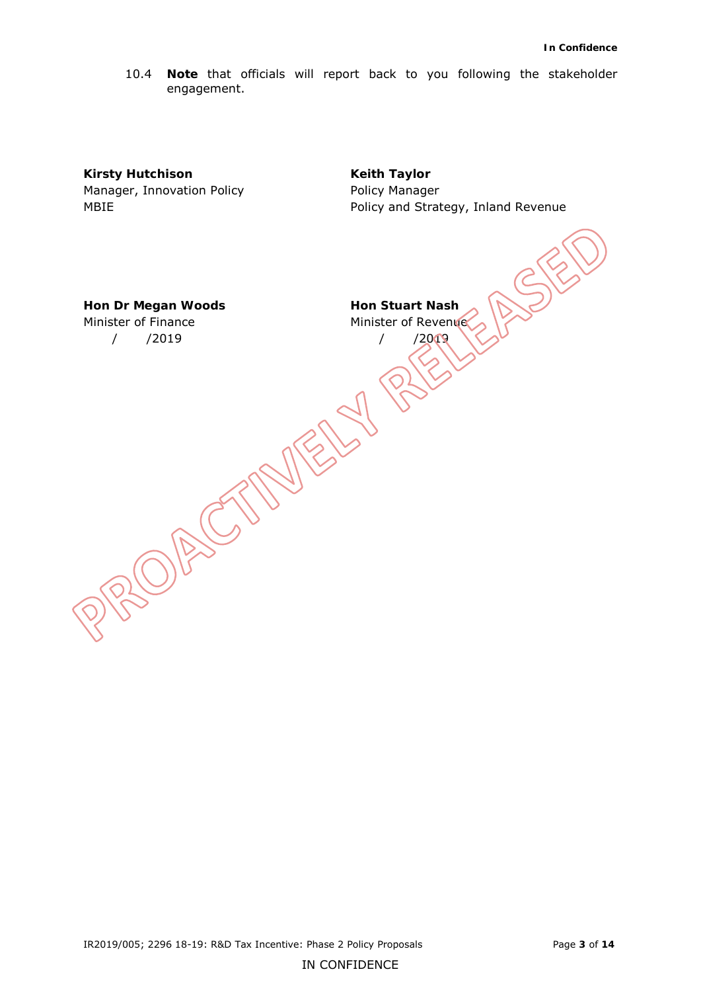10.4 **Note** that officials will report back to you following the stakeholder engagement.

**Kirsty Hutchison Keith Taylor** Manager, Innovation Policy **Nanager** Policy Manager

MBIE Policy and Strategy, Inland Revenue

**Hon Dr Megan Woods Hon Stuart Nash** Minister of Finance

/ /2019 / /2019

Minister of Revenue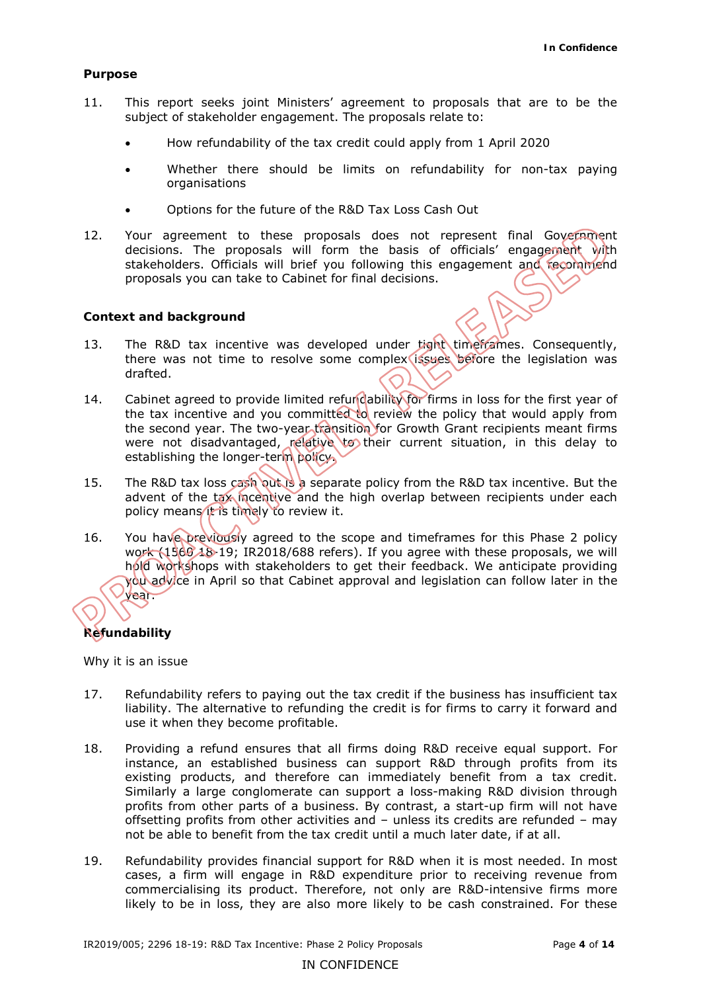#### **Purpose**

- 11. This report seeks joint Ministers' agreement to proposals that are to be the subject of stakeholder engagement. The proposals relate to:
	- • How refundability of the tax credit could apply from 1 April 2020
	- Whether there should be limits on refundability for non-tax paying organisations
	- • Options for the future of the R&D Tax Loss Cash Out
- 12. Your agreement to these proposals does not represent final Government decisions. The proposals will form the basis of officials' engagement with stakeholders. Officials will brief you following this engagement and recommend proposals you can take to Cabinet for final decisions.

#### **Context and background**

- 13. The R&D tax incentive was developed under tight timeframes. Consequently, there was not time to resolve some complex issues before the legislation was drafted.
- drafted.<br>14. Cabinet agreed to provide limited refundability for firms in loss for the first year of the tax incentive and you committed to review the policy that would apply from the second year. The two-year transition for Growth Grant recipients meant firms were not disadvantaged, relative to their current situation, in this delay to establishing the longer-term policy.
- 15. The R&D tax loss cash out is a separate policy from the R&D tax incentive. But the advent of the tax incentive and the high overlap between recipients under each policy means it is timely to review it.
- 16. You have previously agreed to the scope and timeframes for this Phase 2 policy work (1560 18-19; IR2018/688 refers). If you agree with these proposals, we will hold workshops with stakeholders to get their feedback. We anticipate providing you advice in April so that Cabinet approval and legislation can follow later in the year.

## **Refundability**

 *Why it is an issue* 

- 17. Refundability refers to paying out the tax credit if the business has insufficient tax liability. The alternative to refunding the credit is for firms to carry it forward and use it when they become profitable.
- 18. Providing a refund ensures that all firms doing R&D receive equal support. For instance, an established business can support R&D through profits from its existing products, and therefore can immediately benefit from a tax credit. Similarly a large conglomerate can support a loss-making R&D division through profits from other parts of a business. By contrast, a start-up firm will not have offsetting profits from other activities and – unless its credits are refunded – may not be able to benefit from the tax credit until a much later date, if at all.
- 19. Refundability provides financial support for R&D when it is most needed. In most cases, a firm will engage in R&D expenditure prior to receiving revenue from commercialising its product. Therefore, not only are R&D-intensive firms more likely to be in loss, they are also more likely to be cash constrained. For these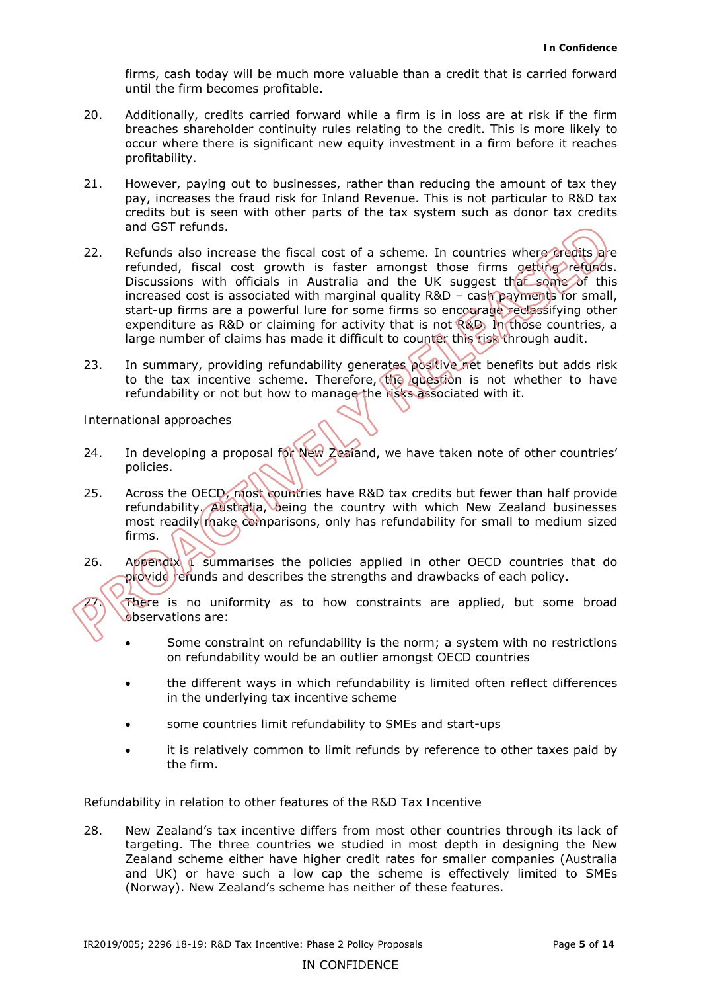firms, cash today will be much more valuable than a credit that is carried forward until the firm becomes profitable.

- 20. Additionally, credits carried forward while a firm is in loss are at risk if the firm breaches shareholder continuity rules relating to the credit. This is more likely to occur where there is significant new equity investment in a firm before it reaches profitability.
- 21. However, paying out to businesses, rather than reducing the amount of tax they pay, increases the fraud risk for Inland Revenue. This is not particular to R&D tax credits but is seen with other parts of the tax system such as donor tax credits and GST refunds.
- 22. Refunds also increase the fiscal cost of a scheme. In countries where credits are refunded, fiscal cost growth is faster amongst those firms getting refunds. Discussions with officials in Australia and the UK suggest that some of this increased cost is associated with marginal quality R&D – cash payments for small, start-up firms are a powerful lure for some firms so encourage reclassifying other expenditure as R&D or claiming for activity that is not R&D. In those countries, a large number of claims has made it difficult to counter this risk through audit.
- 23. In summary, providing refundability generates positive net benefits but adds risk to the tax incentive scheme. Therefore, the question is not whether to have refundability or not but how to manage the risks associated with it.

*International approaches* 

- 24. In developing a proposal for New Zealand, we have taken note of other countries' policies.
- 25. Across the OECD, most countries have R&D tax credits but fewer than half provide refundability. Australia, being the country with which New Zealand businesses most readily rhake comparisons, only has refundability for small to medium sized firms.
- 26. Appendix 1 summarises the policies applied in other OECD countries that do provide refunds and describes the strengths and drawbacks of each policy.

 $27\sqrt{\pi}$  Figure is no uniformity as to how constraints are applied, but some broad observations are:

- Some constraint on refundability is the norm; a system with no restrictions on refundability would be an outlier amongst OECD countries
- the different ways in which refundability is limited often reflect differences in the underlying tax incentive scheme
- • some countries limit refundability to SMEs and start-ups
- it is relatively common to limit refunds by reference to other taxes paid by the firm.

## *Refundability in relation to other features of the R&D Tax Incentive*

28. New Zealand's tax incentive differs from most other countries through its lack of targeting. The three countries we studied in most depth in designing the New Zealand scheme either have higher credit rates for smaller companies (Australia and UK) or have such a low cap the scheme is effectively limited to SMEs (Norway). New Zealand's scheme has neither of these features.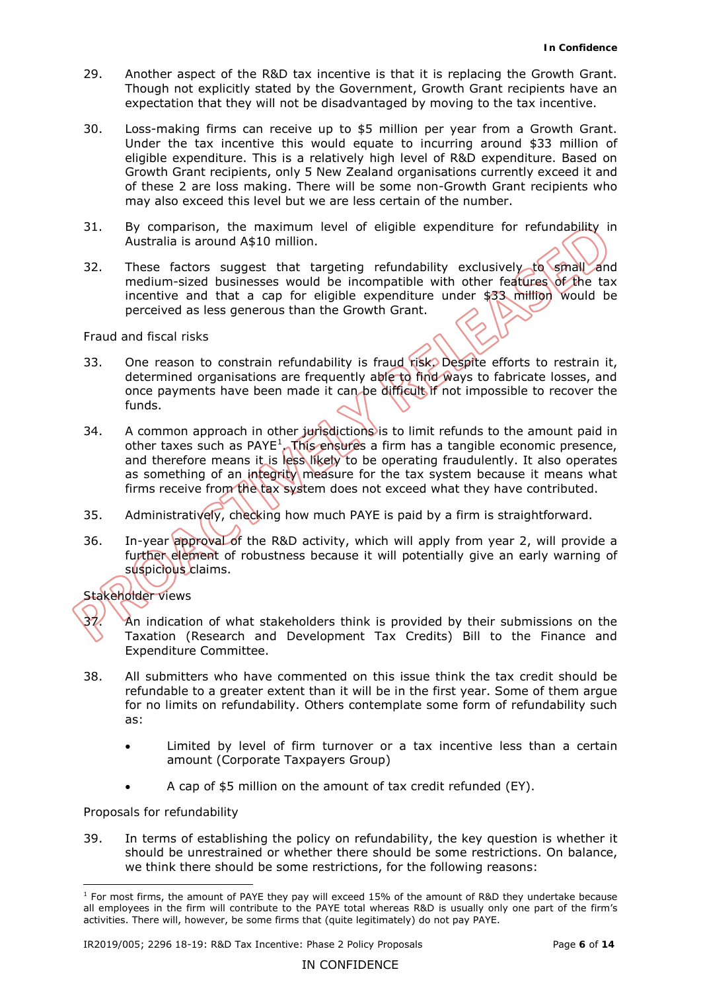- 29. Another aspect of the R&D tax incentive is that it is replacing the Growth Grant. Though not explicitly stated by the Government, Growth Grant recipients have an expectation that they will not be disadvantaged by moving to the tax incentive.
- 30. Loss-making firms can receive up to \$5 million per year from a Growth Grant. Under the tax incentive this would equate to incurring around \$33 million of eligible expenditure. This is a relatively high level of R&D expenditure. Based on Growth Grant recipients, only 5 New Zealand organisations currently exceed it and of these 2 are loss making. There will be some non-Growth Grant recipients who may also exceed this level but we are less certain of the number.
- 31. By comparison, the maximum level of eligible expenditure for refundability in Australia is around A\$10 million.
- 32. These factors suggest that targeting refundability exclusively to small and medium-sized businesses would be incompatible with other features of the tax incentive and that a cap for eligible expenditure under \$33 million would be perceived as less generous than the Growth Grant.

#### *Fraud and fiscal risks*

- 33. One reason to constrain refundability is fraud risk. Despite efforts to restrain it, determined organisations are frequently able to find ways to fabricate losses, and once payments have been made it can be difficult if not impossible to recover the funds.
- 34. A common approach in other jurisdictions is to limit refunds to the amount paid in other taxes such as  $PAYE<sup>1</sup>$ . This ensures a firm has a tangible economic presence, and therefore means it is less likely to be operating fraudulently. It also operates as something of an integrity measure for the tax system because it means what firms receive from the tax system does not exceed what they have contributed.
- 35. Administratively, checking how much PAYE is paid by a firm is straightforward.
- 36. In-year approval of the R&D activity, which will apply from year 2, will provide a further element of robustness because it will potentially give an early warning of suspicious claims.

## *Stakeholder views*

- 37. An indication of what stakeholders think is provided by their submissions on the Taxation (Research and Development Tax Credits) Bill to the Finance and Expenditure Committee.
- 38. All submitters who have commented on this issue think the tax credit should be refundable to a greater extent than it will be in the first year. Some of them argue for no limits on refundability. Others contemplate some form of refundability such as:
	- • Limited by level of firm turnover or a tax incentive less than a certain amount (Corporate Taxpayers Group)
	- A cap of \$5 million on the amount of tax credit refunded (EY).

## *Proposals for refundability*

39. In terms of establishing the policy on refundability, the key question is whether it should be unrestrained or whether there should be some restrictions. On balance, we think there should be some restrictions, for the following reasons:

<sup>-</sup> $<sup>1</sup>$  For most firms, the amount of PAYE they pay will exceed 15% of the amount of R&D they undertake because</sup> all employees in the firm will contribute to the PAYE total whereas R&D is usually only one part of the firm's activities. There will, however, be some firms that (quite legitimately) do not pay PAYE.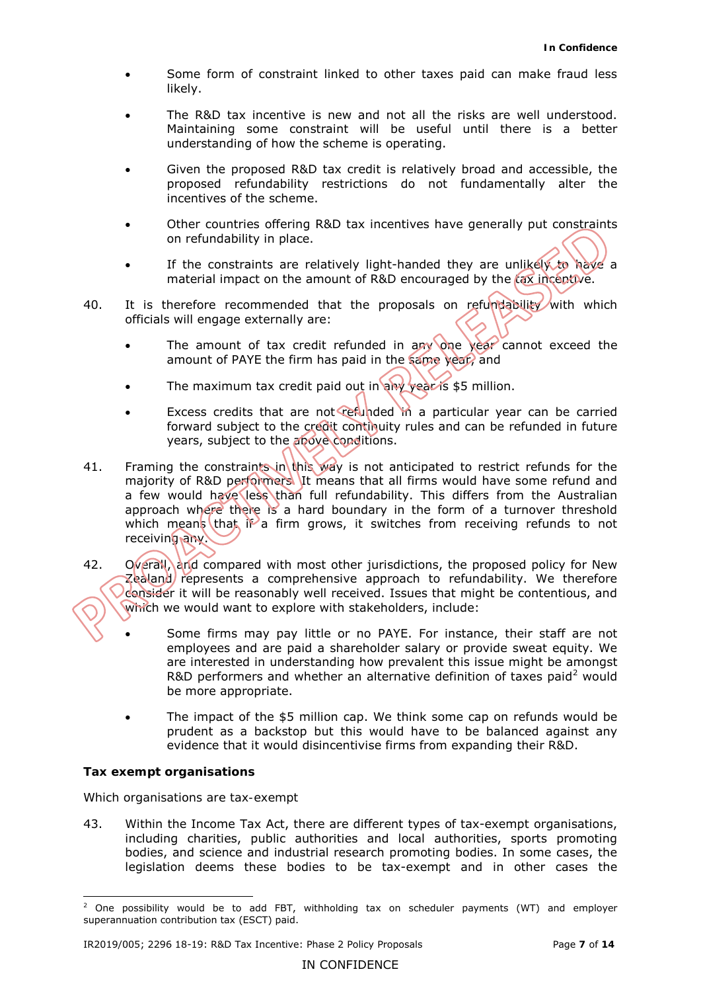- • Some form of constraint linked to other taxes paid can make fraud less likely.
- The R&D tax incentive is new and not all the risks are well understood. Maintaining some constraint will be useful until there is a better understanding of how the scheme is operating.
- • Given the proposed R&D tax credit is relatively broad and accessible, the proposed refundability restrictions do not fundamentally alter the incentives of the scheme.
- Other countries offering R&D tax incentives have generally put constraints on refundability in place.
- If the constraints are relatively light-handed they are unlikely to have a material impact on the amount of R&D encouraged by the tax incentive.
- 40. It is therefore recommended that the proposals on refundability with which officials will engage externally are:
	- The amount of tax credit refunded in any one year cannot exceed the amount of PAYE the firm has paid in the same year, and
	- The maximum tax credit paid out in any year is \$5 million.
	- Excess credits that are not refunded in a particular year can be carried forward subject to the credit continuity rules and can be refunded in future years, subject to the above conditions.
- 41. Framing the constraints in this way is not anticipated to restrict refunds for the majority of R&D performers. It means that all firms would have some refund and a few would have less than full refundability. This differs from the Australian approach where there is a hard boundary in the form of a turnover threshold which means that if a firm grows, it switches from receiving refunds to not receiving any.
- 42. Overall, and compared with most other jurisdictions, the proposed policy for New Zealand/ represents a comprehensive approach to refundability. We therefore consider it will be reasonably well received. Issues that might be contentious, and which we would want to explore with stakeholders, include:
	- • Some firms may pay little or no PAYE. For instance, their staff are not employees and are paid a shareholder salary or provide sweat equity. We are interested in understanding how prevalent this issue might be amongst R&D performers and whether an alternative definition of taxes paid<sup>2</sup> would be more appropriate.
	- The impact of the \$5 million cap. We think some cap on refunds would be prudent as a backstop but this would have to be balanced against any evidence that it would disincentivise firms from expanding their R&D.

## **Tax exempt organisations**

*Which organisations are tax-exempt* 

43. Within the Income Tax Act, there are different types of tax-exempt organisations, including charities, public authorities and local authorities, sports promoting bodies, and science and industrial research promoting bodies. In some cases, the legislation deems these bodies to be tax-exempt and in other cases the

<sup>-</sup> $2$  One possibility would be to add FBT, withholding tax on scheduler payments (WT) and employer superannuation contribution tax (ESCT) paid.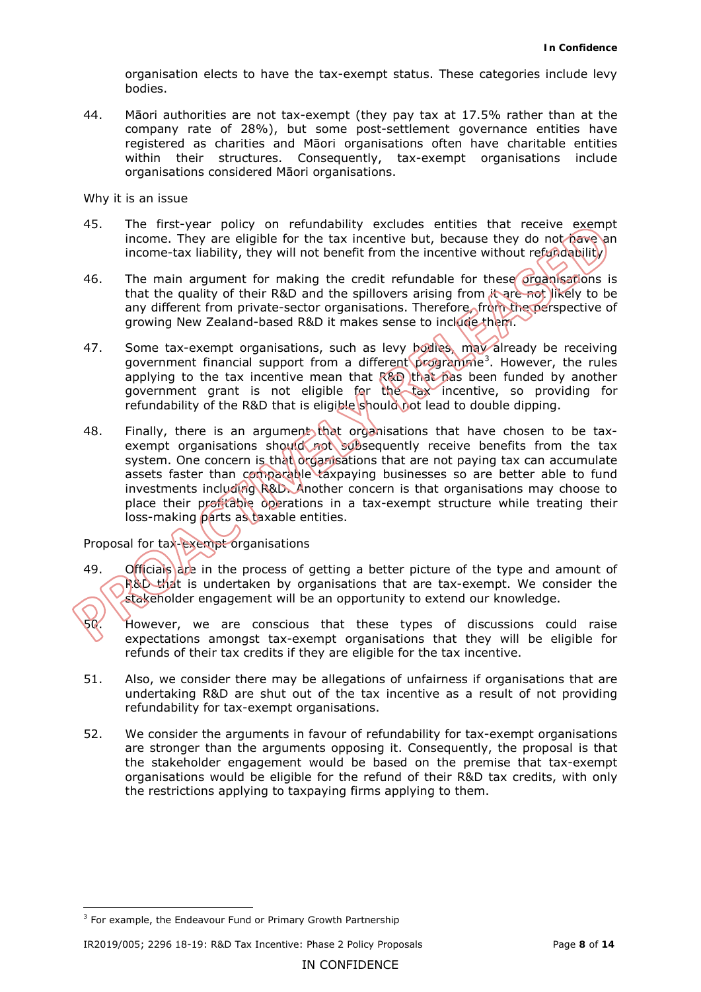organisation elects to have the tax-exempt status. These categories include levy bodies.

 bodies. 44. Māori authorities are not tax-exempt (they pay tax at 17.5% rather than at the company rate of 28%), but some post-settlement governance entities have registered as charities and Māori organisations often have charitable entities within their structures. Consequently, tax-exempt organisations include organisations considered Māori organisations.

 *Why it is an issue* 

- 45. The first-year policy on refundability excludes entities that receive exempt income. They are eligible for the tax incentive but, because they do not have an income-tax liability, they will not benefit from the incentive without refundability)
- 46. The main argument for making the credit refundable for these organisations is that the quality of their R&D and the spillovers arising from it are not likely to be any different from private-sector organisations. Therefore, from the perspective of growing New Zealand-based R&D it makes sense to include them.
- 47. Some tax-exempt organisations, such as levy bodies, may already be receiving government financial support from a different programme<sup>3</sup>. However, the rules applying to the tax incentive mean that R&D that has been funded by another government grant is not eligible for the tax incentive, so providing for refundability of the R&D that is eligible should bot lead to double dipping.
- 48. Finally, there is an argument that organisations that have chosen to be taxexempt organisations should not subsequently receive benefits from the tax system. One concern is that organisations that are not paying tax can accumulate assets faster than comparable taxpaying businesses so are better able to fund investments including R&D. Another concern is that organisations may choose to place their profitable operations in a tax-exempt structure while treating their loss-making parts as taxable entities.

*Proposal for tax-exempt organisations* 

- 49. Lofficials are in the process of getting a better picture of the type and amount of R&D that is undertaken by organisations that are tax-exempt. We consider the stakeholder engagement will be an opportunity to extend our knowledge.
- 50. However, we are conscious that these types of discussions could raise expectations amongst tax-exempt organisations that they will be eligible for refunds of their tax credits if they are eligible for the tax incentive.
- 51. Also, we consider there may be allegations of unfairness if organisations that are undertaking R&D are shut out of the tax incentive as a result of not providing refundability for tax-exempt organisations.
- 52. We consider the arguments in favour of refundability for tax-exempt organisations are stronger than the arguments opposing it. Consequently, the proposal is that the stakeholder engagement would be based on the premise that tax-exempt organisations would be eligible for the refund of their R&D tax credits, with only the restrictions applying to taxpaying firms applying to them.

-

IR2019/005; 2296 18-19: R&D Tax Incentive: Phase 2 Policy Proposals Page **8** of **14** 

<sup>&</sup>lt;sup>3</sup> For example, the Endeavour Fund or Primary Growth Partnership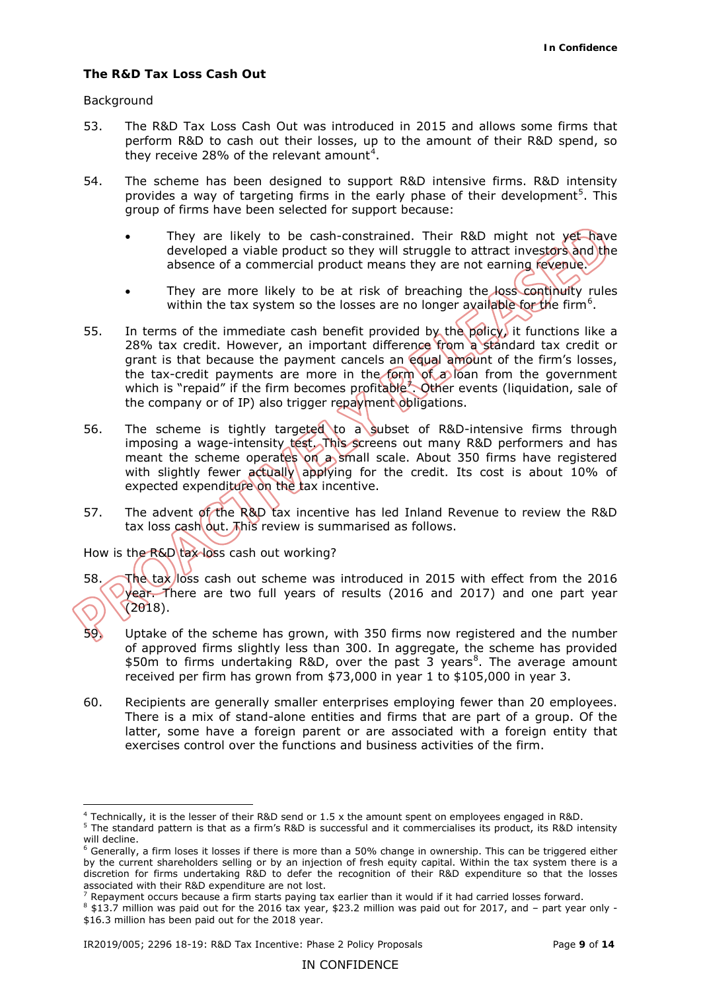## **The R&D Tax Loss Cash Out**

#### *Background*

-

- 53. The R&D Tax Loss Cash Out was introduced in 2015 and allows some firms that perform R&D to cash out their losses, up to the amount of their R&D spend, so they receive 28% of the relevant amount<sup>4</sup>.
- 54. The scheme has been designed to support R&D intensive firms. R&D intensity provides a way of targeting firms in the early phase of their development<sup>5</sup>. This group of firms have been selected for support because:
	- They are likely to be cash-constrained. Their R&D might not yet have developed a viable product so they will struggle to attract investors and the absence of a commercial product means they are not earning revenue.
	- They are more likely to be at risk of breaching the loss continuity rules within the tax system so the losses are no longer available for the firm<sup>6</sup>.
- 55. In terms of the immediate cash benefit provided by the policy, it functions like a 28% tax credit. However, an important difference from a standard tax credit or grant is that because the payment cancels an equal amount of the firm's losses, the tax-credit payments are more in the form of a loan from the government which is "repaid" if the firm becomes profitable<sup>7</sup>. Other events (liquidation, sale of the company or of IP) also trigger repayment obligations.
- 56. The scheme is tightly targeted to a subset of R&D-intensive firms through imposing a wage-intensity test. This screens out many R&D performers and has meant the scheme operates on a small scale. About 350 firms have registered with slightly fewer actually applying for the credit. Its cost is about 10% of expected expenditure on the tax incentive.
- 57. The advent of the R&D tax incentive has led Inland Revenue to review the R&D tax loss cash out. This review is summarised as follows.

## *How is the R&D tax loss cash out working?*

- 58. The tax loss cash out scheme was introduced in 2015 with effect from the 2016 year. There are two full years of results (2016 and 2017) and one part year (2018).
- 59. Uptake of the scheme has grown, with 350 firms now registered and the number of approved firms slightly less than 300. In aggregate, the scheme has provided \$50m to firms undertaking R&D, over the past 3 years<sup>8</sup>. The average amount received per firm has grown from \$73,000 in year 1 to \$105,000 in year 3.
- 60. Recipients are generally smaller enterprises employing fewer than 20 employees. There is a mix of stand-alone entities and firms that are part of a group. Of the latter, some have a foreign parent or are associated with a foreign entity that exercises control over the functions and business activities of the firm.

<sup>&</sup>lt;sup>4</sup> Technically, it is the lesser of their R&D send or  $1.5 \times$  the amount spent on employees engaged in R&D.

 $^5$  The standard pattern is that as a firm's R&D is successful and it commercialises its product, its R&D intensity will decline.

 $6$  Generally, a firm loses it losses if there is more than a 50% change in ownership. This can be triggered either by the current shareholders selling or by an injection of fresh equity capital. Within the tax system there is a discretion for firms undertaking R&D to defer the recognition of their R&D expenditure so that the losses associated with their R&D expenditure are not lost.

 $^7$  Repayment occurs because a firm starts paying tax earlier than it would if it had carried losses forward.

 $^8$  \$13.7 million was paid out for the 2016 tax year, \$23.2 million was paid out for 2017, and – part year only -\$16.3 million has been paid out for the 2018 year.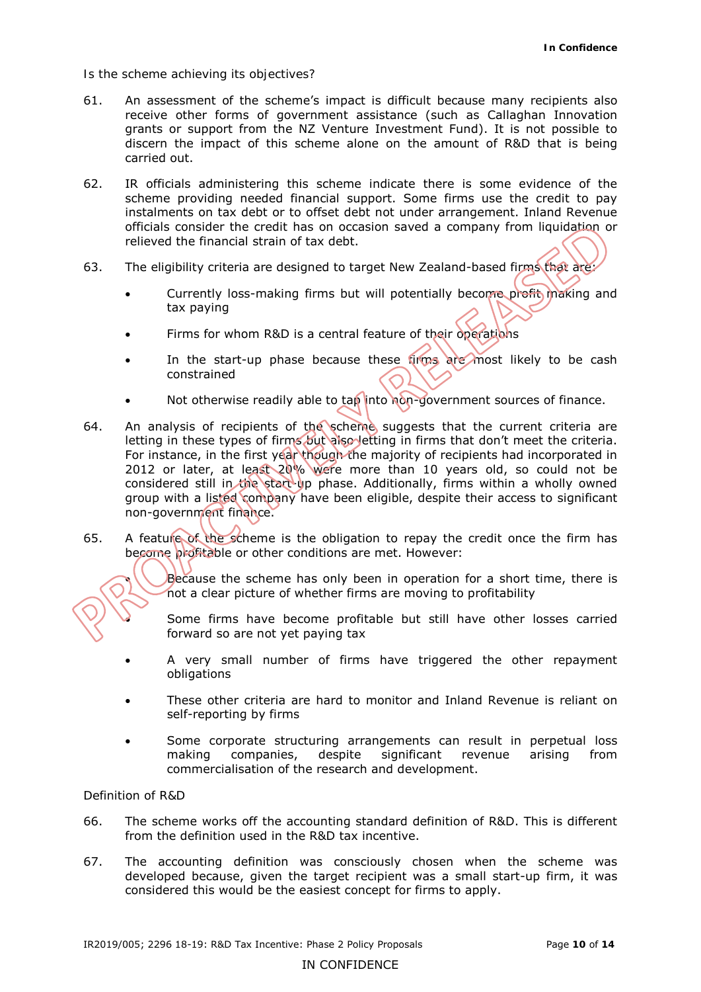#### *Is the scheme achieving its objectives?*

- 61. An assessment of the scheme's impact is difficult because many recipients also receive other forms of government assistance (such as Callaghan Innovation grants or support from the NZ Venture Investment Fund). It is not possible to discern the impact of this scheme alone on the amount of R&D that is being carried out.
- 62. IR officials administering this scheme indicate there is some evidence of the scheme providing needed financial support. Some firms use the credit to pay instalments on tax debt or to offset debt not under arrangement. Inland Revenue officials consider the credit has on occasion saved a company from liquidation or relieved the financial strain of tax debt.
- 63. The eligibility criteria are designed to target New Zealand-based firms that are:
	- Currently loss-making firms but will potentially become profit making and tax paying
	- Firms for whom R&D is a central feature of their operations
	- In the start-up phase because these firms are most likely to be cash constrained
	- Not otherwise readily able to tap into non-government sources of finance.
- 64. An analysis of recipients of the scheme suggests that the current criteria are letting in these types of firms but also letting in firms that don't meet the criteria. For instance, in the first year though the majority of recipients had incorporated in group with a listed company have been eligible, despite their access to significant 2012 or later, at least 20% were more than 10 years old, so could not be considered still in the start-up phase. Additionally, firms within a wholly owned non-government finance.
- 65. A feature of the scheme is the obligation to repay the credit once the firm has become profitable or other conditions are met. However:

**•** Because the scheme has only been in operation for a short time, there is not a clear picture of whether firms are moving to profitability

• Some firms have become profitable but still have other losses carried forward so are not yet paying tax

- • A very small number of firms have triggered the other repayment obligations
- • These other criteria are hard to monitor and Inland Revenue is reliant on self-reporting by firms
- • Some corporate structuring arrangements can result in perpetual loss making companies, despite significant revenue arising from commercialisation of the research and development.

## *Definition of R&D*

- 66. The scheme works off the accounting standard definition of R&D. This is different from the definition used in the R&D tax incentive.
- 67. The accounting definition was consciously chosen when the scheme was developed because, given the target recipient was a small start-up firm, it was considered this would be the easiest concept for firms to apply.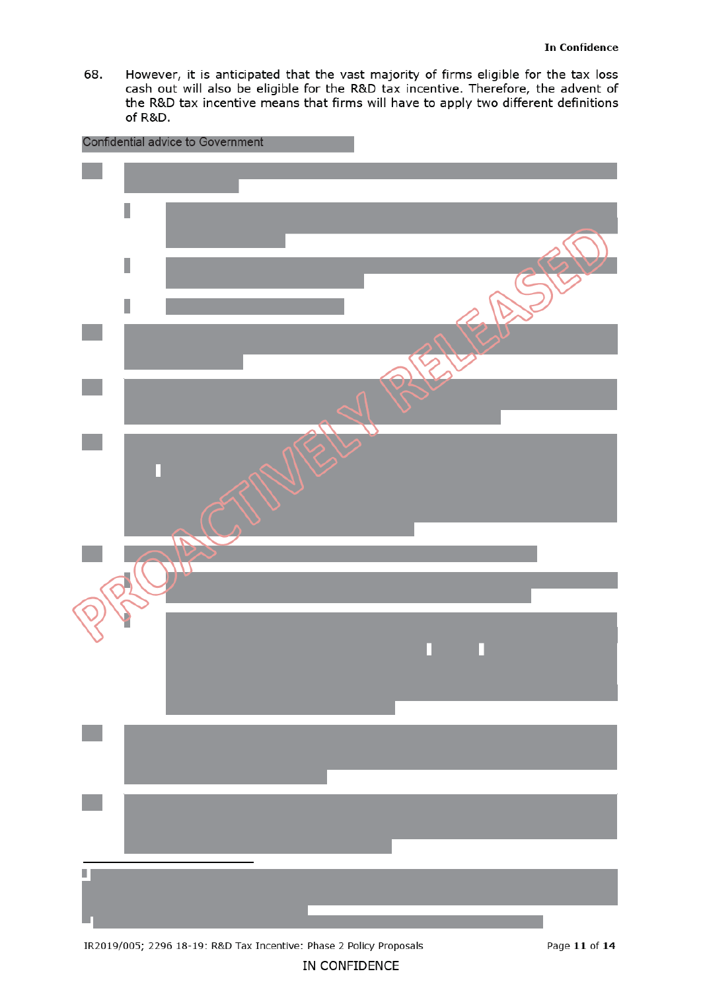However, it is anticipated that the vast majority of firms eligible for the tax loss 68. cash out will also be eligible for the R&D tax incentive. Therefore, the advent of the R&D tax incentive means that firms will have to apply two different definitions of R&D.



IN CONFIDENCE

IR2019/005; 2296 18-19: R&D Tax Incentive: Phase 2 Policy Proposals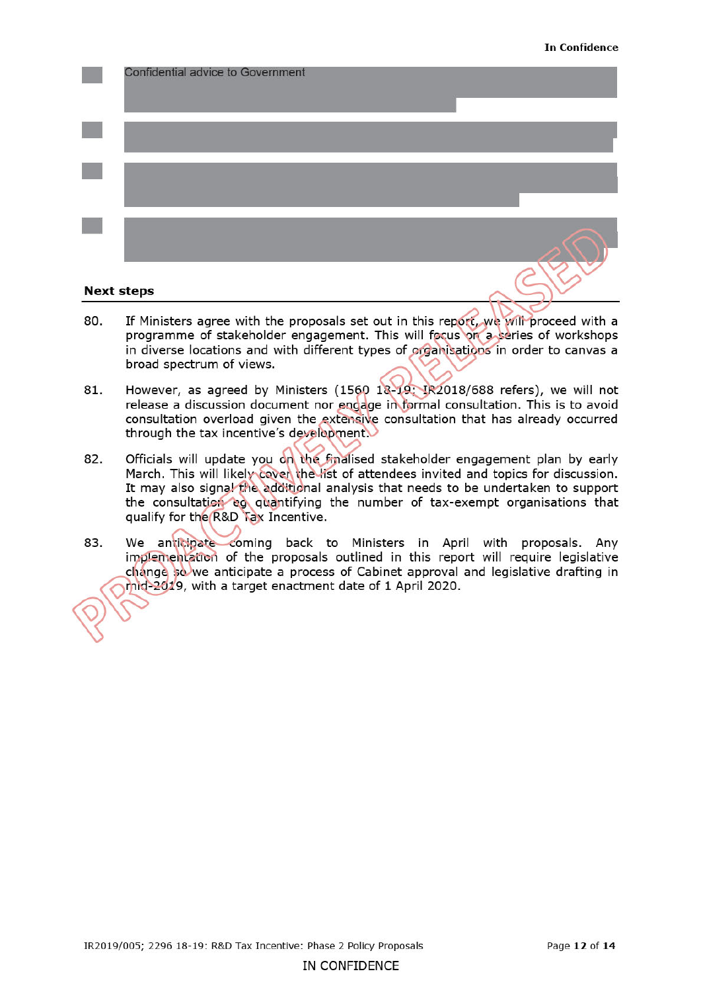

#### **Next steps**

- If Ministers agree with the proposals set out in this report, we will proceed with a 80. programme of stakeholder engagement. This will focus on a series of workshops in diverse locations and with different types of organisations in order to canvas a broad spectrum of views.
- 81. However, as agreed by Ministers (1560 18-19: IR2018/688 refers), we will not release a discussion document nor endage in formal consultation. This is to avoid consultation overload given the extensive consultation that has already occurred through the tax incentive's development.
- Officials will update you on the finalised stakeholder engagement plan by early 82. March. This will likely cover the list of attendees invited and topics for discussion. It may also signal the additional analysis that needs to be undertaken to support the consultation eq quantifying the number of tax-exempt organisations that qualify for the R&D Tax Incentive.
- We anticipate coming back to Ministers in April with proposals. Any 83. implementation of the proposals outlined in this report will require legislative change so we anticipate a process of Cabinet approval and legislative drafting in mid-2019, with a target enactment date of 1 April 2020.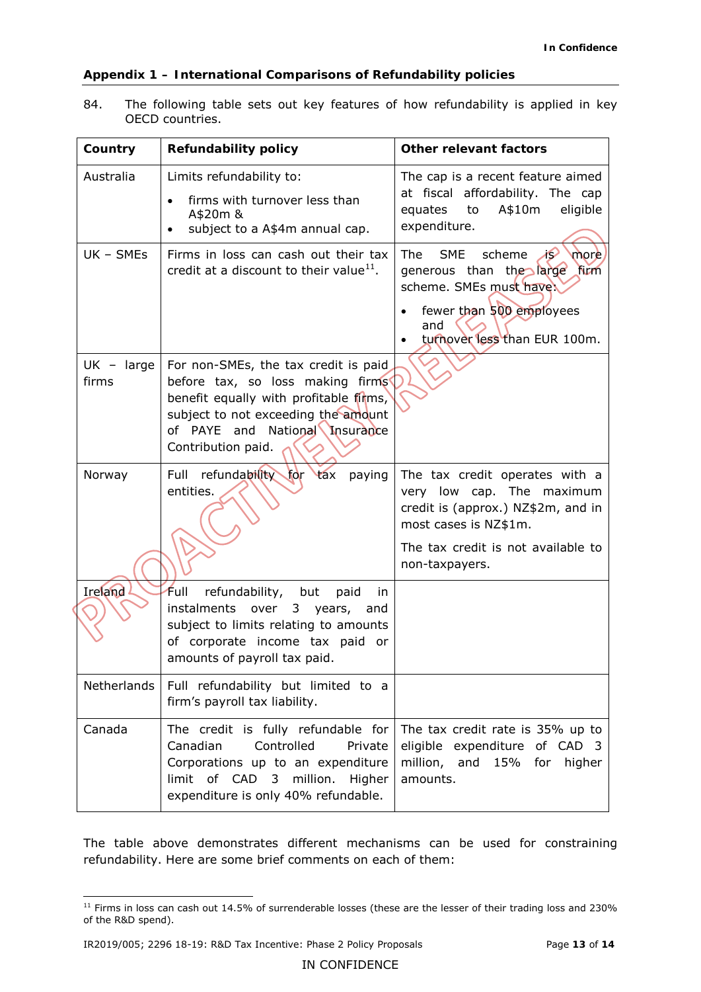## **Appendix 1 – International Comparisons of Refundability policies**

 84. The following table sets out key features of how refundability is applied in key OECD countries.

| Country               | <b>Refundability policy</b>                                                                                                                                                                                       | <b>Other relevant factors</b>                                                                                                                                                      |
|-----------------------|-------------------------------------------------------------------------------------------------------------------------------------------------------------------------------------------------------------------|------------------------------------------------------------------------------------------------------------------------------------------------------------------------------------|
| Australia             | Limits refundability to:<br>firms with turnover less than<br>A\$20m &<br>subject to a A\$4m annual cap.                                                                                                           | The cap is a recent feature aimed<br>at fiscal affordability. The cap<br>equates<br>A\$10m<br>eligible<br>to<br>expenditure.                                                       |
| UK - SMEs             | Firms in loss can cash out their tax<br>credit at a discount to their value $^{11}$ .                                                                                                                             | <b>SME</b><br><b>The</b><br>scheme<br>B<br>more<br>generous than the large<br>fum<br>scheme. SMEs must have<br>fewer than 500 employees<br>and<br>turnover less than EUR 100m.     |
| $UK - large$<br>firms | For non-SMEs, the tax credit is paid<br>before tax, so loss making firms<br>benefit equally with profitable firms,<br>subject to not exceeding the amount<br>of PAYE and National Insurance<br>Contribution paid. |                                                                                                                                                                                    |
| Norway                | Full refundability for<br>tax<br>paying<br>entities.                                                                                                                                                              | The tax credit operates with a<br>very low cap. The maximum<br>credit is (approx.) NZ\$2m, and in<br>most cases is NZ\$1m.<br>The tax credit is not available to<br>non-taxpayers. |
| Ireland               | Full<br>refundability, but<br>paid<br>in.<br>instalments over 3 years,<br>and<br>subject to limits relating to amounts<br>of corporate income tax paid or<br>amounts of payroll tax paid.                         |                                                                                                                                                                                    |
| Netherlands           | Full refundability but limited to a<br>firm's payroll tax liability.                                                                                                                                              |                                                                                                                                                                                    |
| Canada                | The credit is fully refundable for<br>Controlled<br>Canadian<br>Private<br>Corporations up to an expenditure<br>of CAD 3<br>million.<br>limit<br>Higher<br>expenditure is only 40% refundable.                    | The tax credit rate is 35% up to<br>eligible expenditure<br>of CAD <sub>3</sub><br>million, and 15% for<br>higher<br>amounts.                                                      |

 The table above demonstrates different mechanisms can be used for constraining refundability. Here are some brief comments on each of them:

<sup>-</sup> $11$  Firms in loss can cash out 14.5% of surrenderable losses (these are the lesser of their trading loss and 230% of the R&D spend).